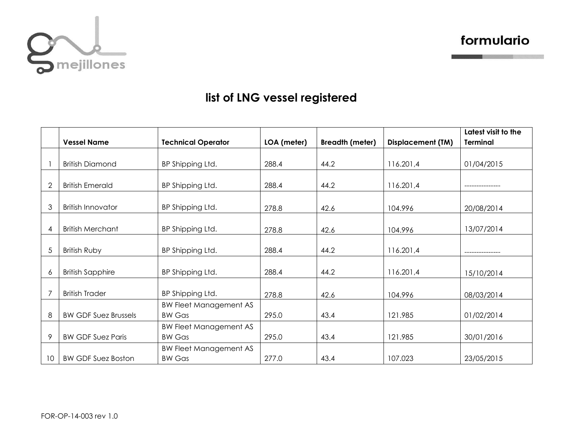

formulario

## **list of LNG vessel registered**

|                |                             |                               |             |                        |                          | Latest visit to the |
|----------------|-----------------------------|-------------------------------|-------------|------------------------|--------------------------|---------------------|
|                | <b>Vessel Name</b>          | <b>Technical Operator</b>     | LOA (meter) | <b>Breadth (meter)</b> | <b>Displacement (TM)</b> | <b>Terminal</b>     |
|                |                             |                               |             |                        |                          |                     |
|                | <b>British Diamond</b>      | BP Shipping Ltd.              | 288.4       | 44.2                   | 116.201,4                | 01/04/2015          |
|                |                             |                               |             |                        |                          |                     |
| $\overline{2}$ | <b>British Emerald</b>      | BP Shipping Ltd.              | 288.4       | 44.2                   | 116.201,4                |                     |
|                |                             |                               |             |                        |                          |                     |
| 3              | <b>British Innovator</b>    | BP Shipping Ltd.              | 278.8       | 42.6                   | 104.996                  | 20/08/2014          |
|                |                             |                               |             |                        |                          |                     |
| $\overline{4}$ | <b>British Merchant</b>     | BP Shipping Ltd.              | 278.8       | 42.6                   | 104.996                  | 13/07/2014          |
|                |                             |                               |             |                        |                          |                     |
| 5              | British Ruby                | BP Shipping Ltd.              | 288.4       | 44.2                   | 116.201,4                |                     |
|                |                             |                               |             |                        |                          |                     |
| 6              | <b>British Sapphire</b>     | BP Shipping Ltd.              | 288.4       | 44.2                   | 116.201,4                | 15/10/2014          |
|                |                             |                               |             |                        |                          |                     |
| 7              | <b>British Trader</b>       | BP Shipping Ltd.              | 278.8       | 42.6                   | 104.996                  | 08/03/2014          |
|                |                             | <b>BW Fleet Management AS</b> |             |                        |                          |                     |
| 8              | <b>BW GDF Suez Brussels</b> | <b>BW Gas</b>                 | 295.0       | 43.4                   | 121.985                  | 01/02/2014          |
|                |                             | <b>BW Fleet Management AS</b> |             |                        |                          |                     |
| 9              | <b>BW GDF Suez Paris</b>    | <b>BW Gas</b>                 | 295.0       | 43.4                   | 121.985                  | 30/01/2016          |
|                |                             | <b>BW Fleet Management AS</b> |             |                        |                          |                     |
| 10             | <b>BW GDF Suez Boston</b>   | <b>BW Gas</b>                 | 277.0       | 43.4                   | 107.023                  | 23/05/2015          |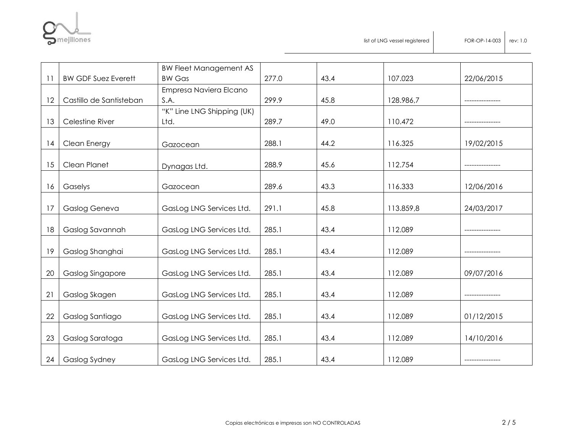

|    |                            | <b>BW Fleet Management AS</b> |       |      |           |            |
|----|----------------------------|-------------------------------|-------|------|-----------|------------|
| 11 | <b>BW GDF Suez Everett</b> | <b>BW Gas</b>                 | 277.0 | 43.4 | 107.023   | 22/06/2015 |
|    |                            | Empresa Naviera Elcano        |       |      |           |            |
| 12 | Castillo de Santisteban    | S.A.                          | 299.9 | 45.8 | 128.986,7 |            |
|    |                            | "K" Line LNG Shipping (UK)    |       |      |           |            |
| 13 | Celestine River            | Ltd.                          | 289.7 | 49.0 | 110.472   |            |
|    |                            |                               |       |      |           |            |
| 14 | Clean Energy               | Gazocean                      | 288.1 | 44.2 | 116.325   | 19/02/2015 |
|    |                            |                               |       |      |           |            |
| 15 | Clean Planet               | Dynagas Ltd.                  | 288.9 | 45.6 | 112.754   |            |
|    |                            |                               |       |      |           |            |
| 16 | Gaselys                    | Gazocean                      | 289.6 | 43.3 | 116.333   | 12/06/2016 |
|    |                            |                               |       |      |           |            |
| 17 | Gaslog Geneva              | GasLog LNG Services Ltd.      | 291.1 | 45.8 | 113.859,8 | 24/03/2017 |
|    |                            |                               |       |      |           |            |
| 18 | Gaslog Savannah            | GasLog LNG Services Ltd.      | 285.1 | 43.4 | 112.089   |            |
| 19 | Gaslog Shanghai            | GasLog LNG Services Ltd.      | 285.1 | 43.4 | 112.089   |            |
|    |                            |                               |       |      |           |            |
| 20 | <b>Gaslog Singapore</b>    | GasLog LNG Services Ltd.      | 285.1 | 43.4 | 112.089   | 09/07/2016 |
|    |                            |                               |       |      |           |            |
| 21 | Gaslog Skagen              | GasLog LNG Services Ltd.      | 285.1 | 43.4 | 112.089   |            |
|    |                            |                               |       |      |           |            |
| 22 | Gaslog Santiago            | GasLog LNG Services Ltd.      | 285.1 | 43.4 | 112.089   | 01/12/2015 |
|    |                            |                               |       |      |           |            |
| 23 | Gaslog Saratoga            | GasLog LNG Services Ltd.      | 285.1 | 43.4 | 112.089   | 14/10/2016 |
|    |                            |                               |       |      |           |            |
| 24 | Gaslog Sydney              | GasLog LNG Services Ltd.      | 285.1 | 43.4 | 112.089   |            |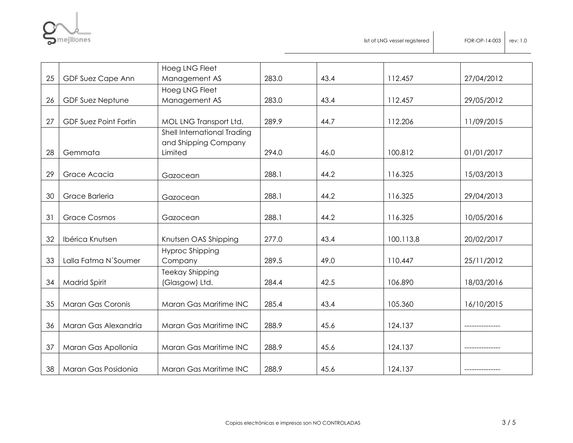

|    |                              | Hoeg LNG Fleet              |       |      |           |            |
|----|------------------------------|-----------------------------|-------|------|-----------|------------|
| 25 | GDF Suez Cape Ann            | Management AS               | 283.0 | 43.4 | 112.457   | 27/04/2012 |
|    |                              | Hoeg LNG Fleet              |       |      |           |            |
| 26 | <b>GDF Suez Neptune</b>      | Management AS               | 283.0 | 43.4 | 112.457   | 29/05/2012 |
|    |                              |                             |       |      |           |            |
| 27 | <b>GDF Suez Point Fortin</b> | MOL LNG Transport Ltd.      | 289.9 | 44.7 | 112.206   | 11/09/2015 |
|    |                              | Shell International Trading |       |      |           |            |
|    |                              | and Shipping Company        |       |      |           |            |
| 28 | Gemmata                      | Limited                     | 294.0 | 46.0 | 100.812   | 01/01/2017 |
|    |                              |                             |       |      |           |            |
| 29 | Grace Acacia                 | Gazocean                    | 288.1 | 44.2 | 116.325   | 15/03/2013 |
|    |                              |                             |       |      |           |            |
| 30 | Grace Barleria               | Gazocean                    | 288.1 | 44.2 | 116.325   | 29/04/2013 |
|    |                              |                             |       |      |           |            |
| 31 | <b>Grace Cosmos</b>          | Gazocean                    | 288.1 | 44.2 | 116.325   | 10/05/2016 |
|    |                              |                             |       |      |           |            |
| 32 | Ibérica Knutsen              | Knutsen OAS Shipping        | 277.0 | 43.4 | 100.113,8 | 20/02/2017 |
|    |                              | Hyproc Shipping             |       |      |           |            |
| 33 | Lalla Fatma N'Soumer         | Company                     | 289.5 | 49.0 | 110.447   | 25/11/2012 |
| 34 |                              | <b>Teekay Shipping</b>      | 284.4 | 42.5 | 106.890   |            |
|    | <b>Madrid Spirit</b>         | (Glasgow) Ltd.              |       |      |           | 18/03/2016 |
| 35 | Maran Gas Coronis            | Maran Gas Maritime INC      | 285.4 | 43.4 | 105.360   | 16/10/2015 |
|    |                              |                             |       |      |           |            |
| 36 | Maran Gas Alexandria         | Maran Gas Maritime INC      | 288.9 | 45.6 | 124.137   |            |
|    |                              |                             |       |      |           |            |
| 37 | Maran Gas Apollonia          | Maran Gas Maritime INC      | 288.9 | 45.6 | 124.137   |            |
|    |                              |                             |       |      |           |            |
| 38 | Maran Gas Posidonia          | Maran Gas Maritime INC      | 288.9 | 45.6 | 124.137   |            |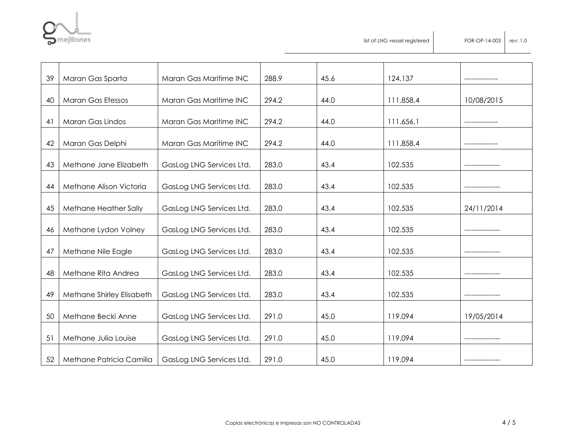

list of LNG vessel registered FOR-OP-14-003 rev: 1.0

| 39 | Maran Gas Sparta          | Maran Gas Maritime INC   | 288.9 | 45.6 | 124.137   |            |
|----|---------------------------|--------------------------|-------|------|-----------|------------|
|    |                           |                          |       |      |           |            |
| 40 | <b>Maran Gas Efessos</b>  | Maran Gas Maritime INC   | 294.2 | 44.0 | 111.858,4 | 10/08/2015 |
| 41 | Maran Gas Lindos          | Maran Gas Maritime INC   | 294.2 | 44.0 | 111.656,1 |            |
| 42 | Maran Gas Delphi          | Maran Gas Maritime INC   | 294.2 | 44.0 | 111.858,4 |            |
| 43 | Methane Jane Elizabeth    | GasLog LNG Services Ltd. | 283.0 | 43.4 | 102.535   |            |
| 44 | Methane Alison Victoria   | GasLog LNG Services Ltd. | 283.0 | 43.4 | 102.535   |            |
| 45 | Methane Heather Sally     | GasLog LNG Services Ltd. | 283.0 | 43.4 | 102.535   | 24/11/2014 |
| 46 | Methane Lydon Volney      | GasLog LNG Services Ltd. | 283.0 | 43.4 | 102.535   |            |
| 47 | Methane Nile Eagle        | GasLog LNG Services Ltd. | 283.0 | 43.4 | 102.535   |            |
| 48 | Methane Rita Andrea       | GasLog LNG Services Ltd. | 283.0 | 43.4 | 102.535   |            |
| 49 | Methane Shirley Elisabeth | GasLog LNG Services Ltd. | 283.0 | 43.4 | 102.535   |            |
| 50 | Methane Becki Anne        | GasLog LNG Services Ltd. | 291.0 | 45.0 | 119.094   | 19/05/2014 |
| 51 | Methane Julia Louise      | GasLog LNG Services Ltd. | 291.0 | 45.0 | 119.094   |            |
| 52 | Methane Patricia Camilia  | GasLog LNG Services Ltd. | 291.0 | 45.0 | 119.094   |            |